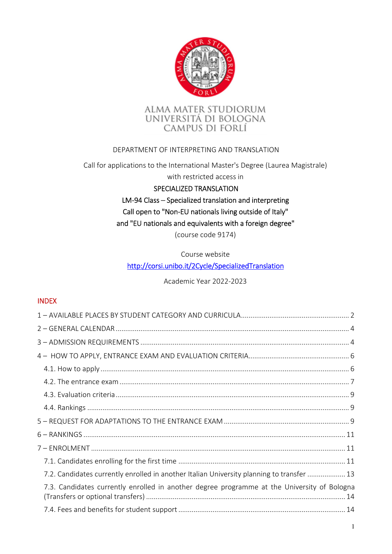



### DEPARTMENT OF INTERPRETING AND TRANSLATION

Call for applications to the International Master's Degree (Laurea Magistrale)

with restricted access in

#### SPECIALIZED TRANSLATION

# LM-94 Class – Specialized translation and interpreting Call open to "Non-EU nationals living outside of Italy" and "EU nationals and equivalents with a foreign degree"

(course code 9174)

### Course website

### http://corsi.unibo.it/2Cycle/SpecializedTranslation

Academic Year 2022-2023

### INDEX

| 7.2. Candidates currently enrolled in another Italian University planning to transfer  13   |
|---------------------------------------------------------------------------------------------|
| 7.3. Candidates currently enrolled in another degree programme at the University of Bologna |
|                                                                                             |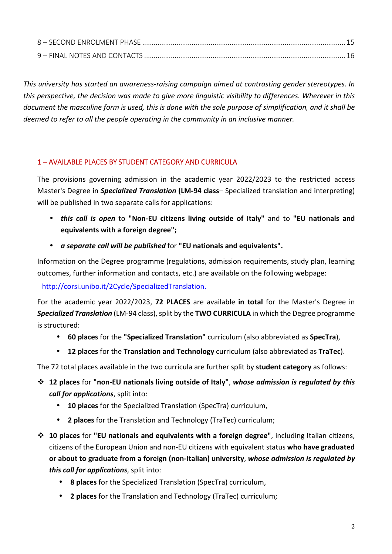| 8 - SECOND ENROLMENT PHASE |  |
|----------------------------|--|
|                            |  |

*This university has started an awareness-raising campaign aimed at contrasting gender stereotypes. In this perspective, the decision was made to give more linguistic visibility to differences. Wherever in this document the masculine form is used, this is done with the sole purpose of simplification, and it shall be deemed to refer to all the people operating in the community in an inclusive manner.* 

### 1 – AVAILABLE PLACES BY STUDENT CATEGORY AND CURRICULA

The provisions governing admission in the academic year 2022/2023 to the restricted access Master's Degree in *Specialized Translation* **(LM-94 class**– Specialized translation and interpreting) will be published in two separate calls for applications:

- *this call is open* to **"Non-EU citizens living outside of Italy"** and to **"EU nationals and equivalents with a foreign degree";**
- *a separate call will be published* for **"EU nationals and equivalents".**

Information on the Degree programme (regulations, admission requirements, study plan, learning outcomes, further information and contacts, etc.) are available on the following webpage:

# http://corsi.unibo.it/2Cycle/SpecializedTranslation.

For the academic year 2022/2023, **72 PLACES** are available **in total** for the Master's Degree in *Specialized Translation* (LM-94 class), split by the **TWO CURRICULA** in which the Degree programme is structured:

- **60 places** for the **"Specialized Translation"** curriculum (also abbreviated as **SpecTra**),
- **12 places** for the **Translation and Technology** curriculum (also abbreviated as **TraTec**).

The 72 total places available in the two curricula are further split by **student category** as follows:

- **12 places** for **"non-EU nationals living outside of Italy"**, *whose admission is regulated by this call for applications*, split into:
	- **10 places** for the Specialized Translation (SpecTra) curriculum,
	- **2 places** for the Translation and Technology (TraTec) curriculum;
- **10 places** for **"EU nationals and equivalents with a foreign degree"**, including Italian citizens, citizens of the European Union and non-EU citizens with equivalent status **who have graduated or about to graduate from a foreign (non-Italian) university**, *whose admission is regulated by this call for applications*, split into:
	- **8 places** for the Specialized Translation (SpecTra) curriculum,
	- **2 places** for the Translation and Technology (TraTec) curriculum;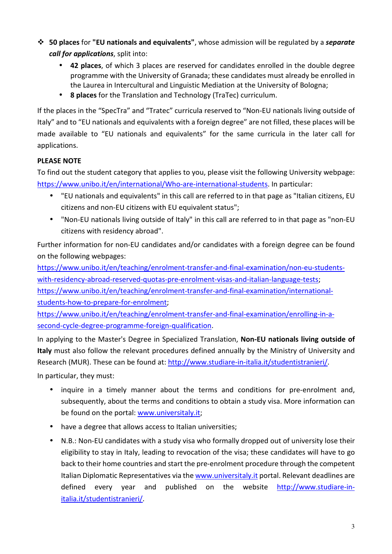- **50 places** for **"EU nationals and equivalents"**, whose admission will be regulated by a *separate call for applications*, split into:
	- **42 places**, of which 3 places are reserved for candidates enrolled in the double degree programme with the University of Granada; these candidates must already be enrolled in the Laurea in Intercultural and Linguistic Mediation at the University of Bologna;
	- **8 places** for the Translation and Technology (TraTec) curriculum.

If the places in the "SpecTra" and "Tratec" curricula reserved to "Non-EU nationals living outside of Italy" and to "EU nationals and equivalents with a foreign degree" are not filled, these places will be made available to "EU nationals and equivalents" for the same curricula in the later call for applications.

### **PLEASE NOTE**

To find out the student category that applies to you, please visit the following University webpage: https://www.unibo.it/en/international/Who-are-international-students. In particular:

- "EU nationals and equivalents" in this call are referred to in that page as "Italian citizens, EU citizens and non-EU citizens with EU equivalent status";
- "Non-EU nationals living outside of Italy" in this call are referred to in that page as "non-EU citizens with residency abroad".

Further information for non-EU candidates and/or candidates with a foreign degree can be found on the following webpages:

https://www.unibo.it/en/teaching/enrolment-transfer-and-final-examination/non-eu-studentswith-residency-abroad-reserved-quotas-pre-enrolment-visas-and-italian-language-tests; https://www.unibo.it/en/teaching/enrolment-transfer-and-final-examination/internationalstudents-how-to-prepare-for-enrolment;

https://www.unibo.it/en/teaching/enrolment-transfer-and-final-examination/enrolling-in-asecond-cycle-degree-programme-foreign-qualification.

In applying to the Master's Degree in Specialized Translation, **Non-EU nationals living outside of Italy** must also follow the relevant procedures defined annually by the Ministry of University and Research (MUR). These can be found at: http://www.studiare-in-italia.it/studentistranieri/. In particular, they must:

• inquire in a timely manner about the terms and conditions for pre-enrolment and, subsequently, about the terms and conditions to obtain a study visa. More information can be found on the portal: www.universitaly.it;

- have a degree that allows access to Italian universities;
- N.B.: Non-EU candidates with a study visa who formally dropped out of university lose their eligibility to stay in Italy, leading to revocation of the visa; these candidates will have to go back to their home countries and start the pre-enrolment procedure through the competent Italian Diplomatic Representatives via the www.universitaly.it portal. Relevant deadlines are defined every year and published on the website http://www.studiare-initalia.it/studentistranieri/.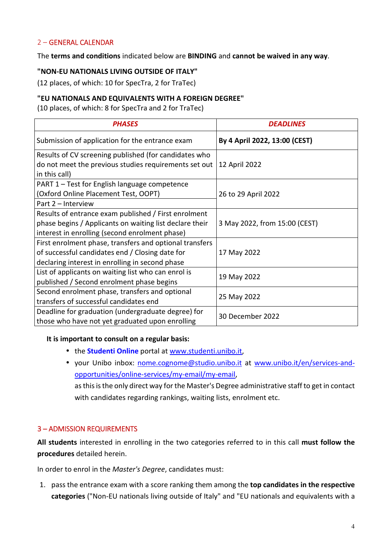#### 2 – GENERAL CALENDAR

The **terms and conditions** indicated below are **BINDING** and **cannot be waived in any way**.

#### **"NON-EU NATIONALS LIVING OUTSIDE OF ITALY"**

(12 places, of which: 10 for SpecTra, 2 for TraTec)

#### **"EU NATIONALS AND EQUIVALENTS WITH A FOREIGN DEGREE"**

(10 places, of which: 8 for SpecTra and 2 for TraTec)

| <b>PHASES</b>                                           | <b>DEADLINES</b>              |  |
|---------------------------------------------------------|-------------------------------|--|
| Submission of application for the entrance exam         | By 4 April 2022, 13:00 (CEST) |  |
| Results of CV screening published (for candidates who   |                               |  |
| do not meet the previous studies requirements set out   | 12 April 2022                 |  |
| in this call)                                           |                               |  |
| PART 1 – Test for English language competence           |                               |  |
| (Oxford Online Placement Test, OOPT)                    | 26 to 29 April 2022           |  |
| Part 2 - Interview                                      |                               |  |
| Results of entrance exam published / First enrolment    |                               |  |
| phase begins / Applicants on waiting list declare their | 3 May 2022, from 15:00 (CEST) |  |
| interest in enrolling (second enrolment phase)          |                               |  |
| First enrolment phase, transfers and optional transfers |                               |  |
| of successful candidates end / Closing date for         | 17 May 2022                   |  |
| declaring interest in enrolling in second phase         |                               |  |
| List of applicants on waiting list who can enrol is     |                               |  |
| published / Second enrolment phase begins               | 19 May 2022                   |  |
| Second enrolment phase, transfers and optional          |                               |  |
| transfers of successful candidates end                  | 25 May 2022                   |  |
| Deadline for graduation (undergraduate degree) for      | 30 December 2022              |  |
| those who have not yet graduated upon enrolling         |                               |  |

#### **It is important to consult on a regular basis:**

- the **Studenti Online** portal at www.studenti.unibo.it,
- your Unibo inbox: nome.cognome@studio.unibo.it at www.unibo.it/en/services-andopportunities/online-services/my-email/my-email,

as this is the only direct way for the Master's Degree administrative staff to get in contact with candidates regarding rankings, waiting lists, enrolment etc.

#### 3 – ADMISSION REQUIREMENTS

**All students** interested in enrolling in the two categories referred to in this call **must follow the procedures** detailed herein.

In order to enrol in the *Master's Degree*, candidates must:

1. pass the entrance exam with a score ranking them among the **top candidates in the respective categories** ("Non-EU nationals living outside of Italy" and "EU nationals and equivalents with a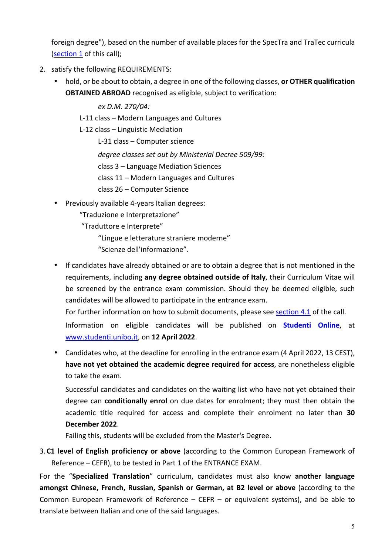foreign degree"), based on the number of available places for the SpecTra and TraTec curricula (section 1 of this call);

- 2. satisfy the following REQUIREMENTS:
	- hold, or be about to obtain, a degree in one of the following classes, **or OTHER qualification OBTAINED ABROAD** recognised as eligible, subject to verification:

*ex D.M. 270/04:* 

L-11 class – Modern Languages and Cultures

L-12 class – Linguistic Mediation

L-31 class – Computer science

*degree classes set out by Ministerial Decree 509/99:* 

class 3 – Language Mediation Sciences

class 11 – Modern Languages and Cultures

class 26 – Computer Science

• Previously available 4-years Italian degrees:

"Traduzione e Interpretazione"

"Traduttore e Interprete"

"Lingue e letterature straniere moderne"

- "Scienze dell'informazione".
- If candidates have already obtained or are to obtain a degree that is not mentioned in the requirements, including **any degree obtained outside of Italy**, their Curriculum Vitae will be screened by the entrance exam commission. Should they be deemed eligible, such candidates will be allowed to participate in the entrance exam.

For further information on how to submit documents, please see section 4.1 of the call.

Information on eligible candidates will be published on **Studenti Online**, at www.studenti.unibo.it, on **12 April 2022**.

• Candidates who, at the deadline for enrolling in the entrance exam (4 April 2022, 13 CEST), **have not yet obtained the academic degree required for access**, are nonetheless eligible to take the exam.

Successful candidates and candidates on the waiting list who have not yet obtained their degree can **conditionally enrol** on due dates for enrolment; they must then obtain the academic title required for access and complete their enrolment no later than **30 December 2022**.

Failing this, students will be excluded from the Master's Degree.

3.**C1 level of English proficiency or above** (according to the Common European Framework of Reference – CEFR), to be tested in Part 1 of the ENTRANCE EXAM.

For the "**Specialized Translation**" curriculum, candidates must also know **another language amongst Chinese, French, Russian, Spanish or German, at B2 level or above** (according to the Common European Framework of Reference – CEFR – or equivalent systems), and be able to translate between Italian and one of the said languages.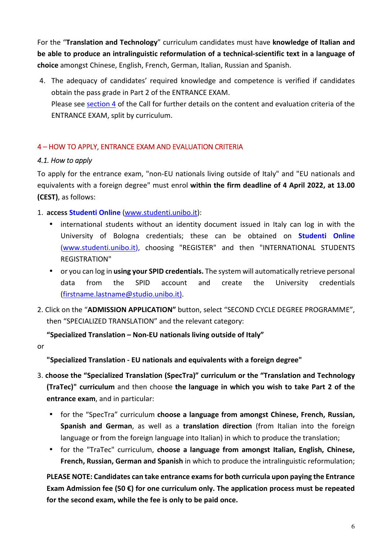For the "**Translation and Technology**" curriculum candidates must have **knowledge of Italian and be able to produce an intralinguistic reformulation of a technical-scientific text in a language of choice** amongst Chinese, English, French, German, Italian, Russian and Spanish.

4. The adequacy of candidates' required knowledge and competence is verified if candidates obtain the pass grade in Part 2 of the ENTRANCE EXAM. Please see section 4 of the Call for further details on the content and evaluation criteria of the ENTRANCE EXAM, split by curriculum.

### 4 – HOW TO APPLY, ENTRANCE EXAM AND EVALUATION CRITERIA

### *4.1. How to apply*

To apply for the entrance exam, "non-EU nationals living outside of Italy" and "EU nationals and equivalents with a foreign degree" must enrol **within the firm deadline of 4 April 2022, at 13.00 (CEST)**, as follows:

1. **access Studenti Online** (www.studenti.unibo.it):

- international students without an identity document issued in Italy can log in with the University of Bologna credentials; these can be obtained on **Studenti Online**  (www.studenti.unibo.it), choosing "REGISTER" and then "INTERNATIONAL STUDENTS REGISTRATION"
- or you can log in **using your SPID credentials.** The system will automatically retrieve personal data from the SPID account and create the University credentials (firstname.lastname@studio.unibo.it).
- 2. Click on the "**ADMISSION APPLICATION"** button, select "SECOND CYCLE DEGREE PROGRAMME", then "SPECIALIZED TRANSLATION" and the relevant category:

**"Specialized Translation – Non-EU nationals living outside of Italy"** 

or

**"Specialized Translation - EU nationals and equivalents with a foreign degree"** 

- 3. **choose the "Specialized Translation (SpecTra)" curriculum or the "Translation and Technology (TraTec)" curriculum** and then choose **the language in which you wish to take Part 2 of the entrance exam**, and in particular:
	- for the "SpecTra" curriculum **choose a language from amongst Chinese, French, Russian, Spanish and German**, as well as a **translation direction** (from Italian into the foreign language or from the foreign language into Italian) in which to produce the translation;
	- for the "TraTec" curriculum, **choose a language from amongst Italian, English, Chinese, French, Russian, German and Spanish** in which to produce the intralinguistic reformulation;

**PLEASE NOTE: Candidates can take entrance exams for both curricula upon paying the Entrance Exam Admission fee (50 €) for one curriculum only. The application process must be repeated for the second exam, while the fee is only to be paid once.**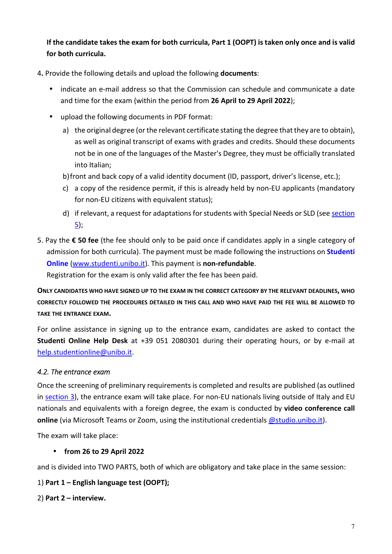**If the candidate takes the exam for both curricula, Part 1 (OOPT) is taken only once and is valid for both curricula.** 

4**.** Provide the following details and upload the following **documents**:

- indicate an e-mail address so that the Commission can schedule and communicate a date and time for the exam (within the period from **26 April to 29 April 2022**);
- upload the following documents in PDF format:
	- a) the original degree (or the relevant certificate stating the degree that they are to obtain), as well as original transcript of exams with grades and credits. Should these documents not be in one of the languages of the Master's Degree, they must be officially translated into Italian;
	- b)front and back copy of a valid identity document (ID, passport, driver's license, etc.);
	- c) a copy of the residence permit, if this is already held by non-EU applicants (mandatory for non-EU citizens with equivalent status);
	- d) if relevant, a request for adaptations for students with Special Needs or SLD (see section 5);
- 5. Pay the **€ 50 fee** (the fee should only to be paid once if candidates apply in a single category of admission for both curricula). The payment must be made following the instructions on **Studenti Online** (www.studenti.unibo.it). This payment is **non-refundable**.

Registration for the exam is only valid after the fee has been paid.

**ONLY CANDIDATES WHO HAVE SIGNED UP TO THE EXAM IN THE CORRECT CATEGORY BY THE RELEVANT DEADLINES, WHO CORRECTLY FOLLOWED THE PROCEDURES DETAILED IN THIS CALL AND WHO HAVE PAID THE FEE WILL BE ALLOWED TO TAKE THE ENTRANCE EXAM.** 

For online assistance in signing up to the entrance exam, candidates are asked to contact the **Studenti Online Help Desk** at +39 051 2080301 during their operating hours, or by e-mail at help.studentionline@unibo.it.

### *4.2. The entrance exam*

Once the screening of preliminary requirements is completed and results are published (as outlined in section 3), the entrance exam will take place. For non-EU nationals living outside of Italy and EU nationals and equivalents with a foreign degree, the exam is conducted by **video conference call online** (via Microsoft Teams or Zoom, using the institutional credentials **@studio.unibo.it**).

The exam will take place:

### • **from 26 to 29 April 2022**

and is divided into TWO PARTS, both of which are obligatory and take place in the same session:

### 1) **Part 1 – English language test (OOPT);**

### 2) **Part 2 – interview.**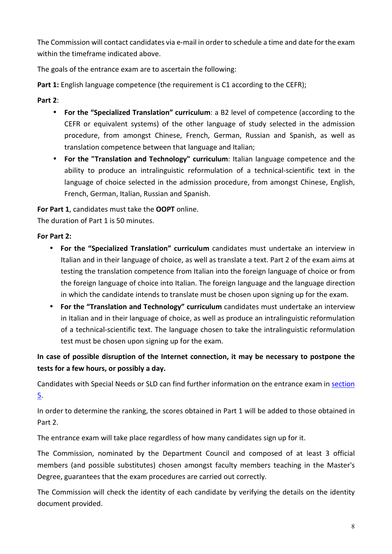The Commission will contact candidates via e-mail in order to schedule a time and date for the exam within the timeframe indicated above.

The goals of the entrance exam are to ascertain the following:

Part 1: English language competence (the requirement is C1 according to the CEFR);

# **Part 2**:

- **For the "Specialized Translation" curriculum**: a B2 level of competence (according to the CEFR or equivalent systems) of the other language of study selected in the admission procedure, from amongst Chinese, French, German, Russian and Spanish, as well as translation competence between that language and Italian;
- **For the "Translation and Technology" curriculum**: Italian language competence and the ability to produce an intralinguistic reformulation of a technical-scientific text in the language of choice selected in the admission procedure, from amongst Chinese, English, French, German, Italian, Russian and Spanish.

**For Part 1**, candidates must take the **OOPT** online.

The duration of Part 1 is 50 minutes.

### **For Part 2:**

- **For the "Specialized Translation" curriculum** candidates must undertake an interview in Italian and in their language of choice, as well as translate a text. Part 2 of the exam aims at testing the translation competence from Italian into the foreign language of choice or from the foreign language of choice into Italian. The foreign language and the language direction in which the candidate intends to translate must be chosen upon signing up for the exam.
- **For the "Translation and Technology" curriculum** candidates must undertake an interview in Italian and in their language of choice, as well as produce an intralinguistic reformulation of a technical-scientific text. The language chosen to take the intralinguistic reformulation test must be chosen upon signing up for the exam.

# **In case of possible disruption of the Internet connection, it may be necessary to postpone the tests for a few hours, or possibly a day.**

Candidates with Special Needs or SLD can find further information on the entrance exam in section 5.

In order to determine the ranking, the scores obtained in Part 1 will be added to those obtained in Part 2.

The entrance exam will take place regardless of how many candidates sign up for it.

The Commission, nominated by the Department Council and composed of at least 3 official members (and possible substitutes) chosen amongst faculty members teaching in the Master's Degree, guarantees that the exam procedures are carried out correctly.

The Commission will check the identity of each candidate by verifying the details on the identity document provided.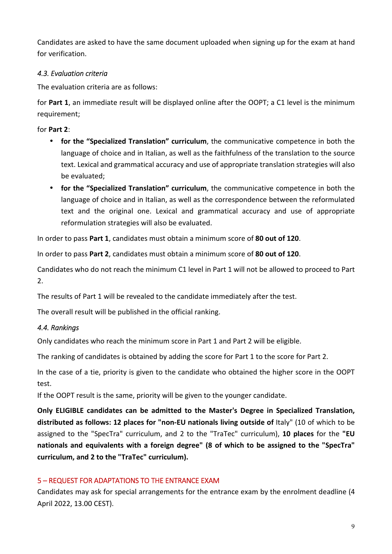Candidates are asked to have the same document uploaded when signing up for the exam at hand for verification.

### *4.3. Evaluation criteria*

The evaluation criteria are as follows:

for **Part 1**, an immediate result will be displayed online after the OOPT; a C1 level is the minimum requirement;

for **Part 2**:

- **for the "Specialized Translation" curriculum**, the communicative competence in both the language of choice and in Italian, as well as the faithfulness of the translation to the source text. Lexical and grammatical accuracy and use of appropriate translation strategies will also be evaluated;
- **for the "Specialized Translation" curriculum**, the communicative competence in both the language of choice and in Italian, as well as the correspondence between the reformulated text and the original one. Lexical and grammatical accuracy and use of appropriate reformulation strategies will also be evaluated.

In order to pass **Part 1**, candidates must obtain a minimum score of **80 out of 120**.

In order to pass **Part 2**, candidates must obtain a minimum score of **80 out of 120**.

Candidates who do not reach the minimum C1 level in Part 1 will not be allowed to proceed to Part 2.

The results of Part 1 will be revealed to the candidate immediately after the test.

The overall result will be published in the official ranking.

### *4.4. Rankings*

Only candidates who reach the minimum score in Part 1 and Part 2 will be eligible.

The ranking of candidates is obtained by adding the score for Part 1 to the score for Part 2.

In the case of a tie, priority is given to the candidate who obtained the higher score in the OOPT test.

If the OOPT result is the same, priority will be given to the younger candidate.

**Only ELIGIBLE candidates can be admitted to the Master's Degree in Specialized Translation, distributed as follows: 12 places for "non-EU nationals living outside of** Italy" (10 of which to be assigned to the "SpecTra" curriculum, and 2 to the "TraTec" curriculum), **10 places** for the **"EU nationals and equivalents with a foreign degree" (8 of which to be assigned to the "SpecTra" curriculum, and 2 to the "TraTec" curriculum).**

### 5 – REQUEST FOR ADAPTATIONS TO THE ENTRANCE EXAM

Candidates may ask for special arrangements for the entrance exam by the enrolment deadline (4 April 2022, 13.00 CEST).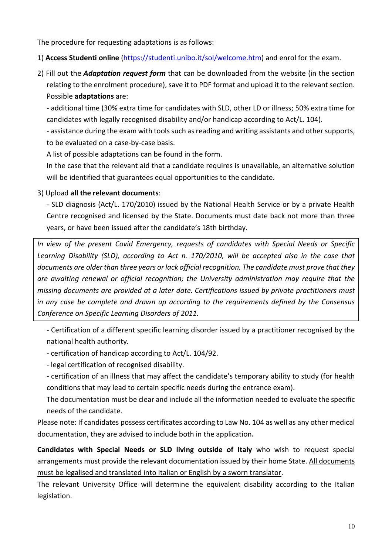The procedure for requesting adaptations is as follows:

### 1) **Access Studenti online** (https://studenti.unibo.it/sol/welcome.htm) and enrol for the exam.

2) Fill out the *Adaptation request form* that can be downloaded from the website (in the section relating to the enrolment procedure), save it to PDF format and upload it to the relevant section. Possible **adaptations** are:

- additional time (30% extra time for candidates with SLD, other LD or illness; 50% extra time for candidates with legally recognised disability and/or handicap according to Act/L. 104).

- assistance during the exam with tools such as reading and writing assistants and other supports, to be evaluated on a case-by-case basis.

A list of possible adaptations can be found in the form.

In the case that the relevant aid that a candidate requires is unavailable, an alternative solution will be identified that guarantees equal opportunities to the candidate.

### 3) Upload **all the relevant documents**:

- SLD diagnosis (Act/L. 170/2010) issued by the National Health Service or by a private Health Centre recognised and licensed by the State. Documents must date back not more than three years, or have been issued after the candidate's 18th birthday.

*In view of the present Covid Emergency, requests of candidates with Special Needs or Specific Learning Disability (SLD), according to Act n. 170/2010, will be accepted also in the case that documents are older than three years or lack official recognition. The candidate must prove that they are awaiting renewal or official recognition; the University administration may require that the missing documents are provided at a later date. Certifications issued by private practitioners must in any case be complete and drawn up according to the requirements defined by the Consensus Conference on Specific Learning Disorders of 2011.* 

- Certification of a different specific learning disorder issued by a practitioner recognised by the national health authority.

- certification of handicap according to Act/L. 104/92.

- legal certification of recognised disability.

- certification of an illness that may affect the candidate's temporary ability to study (for health conditions that may lead to certain specific needs during the entrance exam).

The documentation must be clear and include all the information needed to evaluate the specific needs of the candidate.

Please note: If candidates possess certificates according to Law No. 104 as well as any other medical documentation, they are advised to include both in the application**.**

**Candidates with Special Needs or SLD living outside of Italy** who wish to request special arrangements must provide the relevant documentation issued by their home State. All documents must be legalised and translated into Italian or English by a sworn translator.

The relevant University Office will determine the equivalent disability according to the Italian legislation.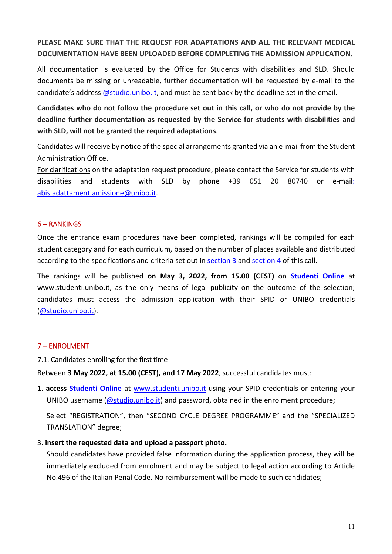# **PLEASE MAKE SURE THAT THE REQUEST FOR ADAPTATIONS AND ALL THE RELEVANT MEDICAL DOCUMENTATION HAVE BEEN UPLOADED BEFORE COMPLETING THE ADMISSION APPLICATION.**

All documentation is evaluated by the Office for Students with disabilities and SLD. Should documents be missing or unreadable, further documentation will be requested by e-mail to the candidate's address @studio.unibo.it, and must be sent back by the deadline set in the email.

**Candidates who do not follow the procedure set out in this call, or who do not provide by the deadline further documentation as requested by the Service for students with disabilities and with SLD, will not be granted the required adaptations**.

Candidates will receive by notice of the special arrangements granted via an e-mail from the Student Administration Office.

For clarifications on the adaptation request procedure, please contact the Service for students with disabilities and students with SLD by phone +39 051 20 80740 or e-mail: abis.adattamentiamissione@unibo.it.

### 6 – RANKINGS

Once the entrance exam procedures have been completed, rankings will be compiled for each student category and for each curriculum, based on the number of places available and distributed according to the specifications and criteria set out in section 3 and section 4 of this call.

The rankings will be published **on May 3, 2022, from 15.00 (CEST)** on **Studenti Online** at www.studenti.unibo.it, as the only means of legal publicity on the outcome of the selection; candidates must access the admission application with their SPID or UNIBO credentials (@studio.unibo.it).

#### 7 – ENROLMENT

#### 7.1. Candidates enrolling for the first time

Between **3 May 2022, at 15.00 (CEST), and 17 May 2022**, successful candidates must:

1. **access Studenti Online** at www.studenti.unibo.it using your SPID credentials or entering your UNIBO username (@studio.unibo.it) and password, obtained in the enrolment procedure;

Select "REGISTRATION", then "SECOND CYCLE DEGREE PROGRAMME" and the "SPECIALIZED TRANSLATION" degree;

#### 3. **insert the requested data and upload a passport photo.**

Should candidates have provided false information during the application process, they will be immediately excluded from enrolment and may be subject to legal action according to Article No.496 of the Italian Penal Code. No reimbursement will be made to such candidates;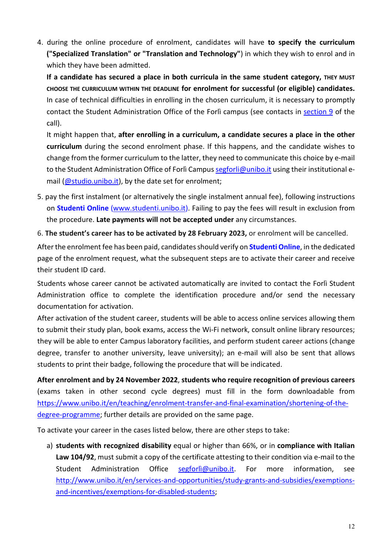4. during the online procedure of enrolment, candidates will have **to specify the curriculum ("Specialized Translation" or "Translation and Technology"**) in which they wish to enrol and in which they have been admitted.

**If a candidate has secured a place in both curricula in the same student category, THEY MUST CHOOSE THE CURRICULUM WITHIN THE DEADLINE for enrolment for successful (or eligible) candidates.** In case of technical difficulties in enrolling in the chosen curriculum, it is necessary to promptly contact the Student Administration Office of the Forlì campus (see contacts in section 9 of the call).

It might happen that, **after enrolling in a curriculum, a candidate secures a place in the other curriculum** during the second enrolment phase. If this happens, and the candidate wishes to change from the former curriculum to the latter, they need to communicate this choice by e-mail to the Student Administration Office of Forlì Campus segforli@unibo.it using their institutional email (@studio.unibo.it), by the date set for enrolment;

5. pay the first instalment (or alternatively the single instalment annual fee), following instructions on **Studenti Online** (www.studenti.unibo.it). Failing to pay the fees will result in exclusion from the procedure. **Late payments will not be accepted under** any circumstances.

6. **The student's career has to be activated by 28 February 2023,** or enrolment will be cancelled.

After the enrolment fee has been paid, candidates should verify on **Studenti Online**, in the dedicated page of the enrolment request, what the subsequent steps are to activate their career and receive their student ID card.

Students whose career cannot be activated automatically are invited to contact the Forlì Student Administration office to complete the identification procedure and/or send the necessary documentation for activation.

After activation of the student career, students will be able to access online services allowing them to submit their study plan, book exams, access the Wi-Fi network, consult online library resources; they will be able to enter Campus laboratory facilities, and perform student career actions (change degree, transfer to another university, leave university); an e-mail will also be sent that allows students to print their badge, following the procedure that will be indicated.

**After enrolment and by 24 November 2022**, **students who require recognition of previous careers**  (exams taken in other second cycle degrees) must fill in the form downloadable from https://www.unibo.it/en/teaching/enrolment-transfer-and-final-examination/shortening-of-thedegree-programme; further details are provided on the same page.

To activate your career in the cases listed below, there are other steps to take:

a) **students with recognized disability** equal or higher than 66%, or in **compliance with Italian Law 104/92**, must submit a copy of the certificate attesting to their condition via e-mail to the Student Administration Office segforlì@unibo.it. For more information, see http://www.unibo.it/en/services-and-opportunities/study-grants-and-subsidies/exemptionsand-incentives/exemptions-for-disabled-students;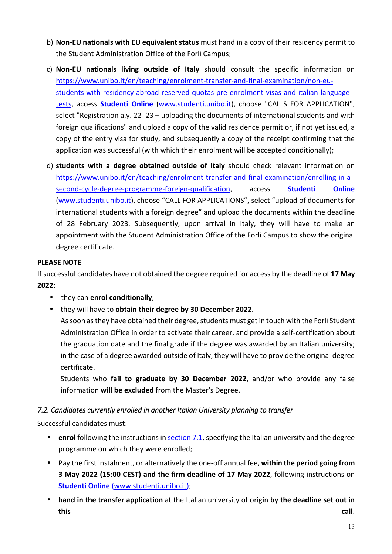- b) **Non-EU nationals with EU equivalent status** must hand in a copy of their residency permit to the Student Administration Office of the Forlì Campus;
- c) **Non-EU nationals living outside of Italy** should consult the specific information on https://www.unibo.it/en/teaching/enrolment-transfer-and-final-examination/non-eustudents-with-residency-abroad-reserved-quotas-pre-enrolment-visas-and-italian-languagetests, access **Studenti Online** (www.studenti.unibo.it), choose "CALLS FOR APPLICATION", select "Registration a.y. 22\_23 – uploading the documents of international students and with foreign qualifications" and upload a copy of the valid residence permit or, if not yet issued, a copy of the entry visa for study, and subsequently a copy of the receipt confirming that the application was successful (with which their enrolment will be accepted conditionally);
- d) **students with a degree obtained outside of Italy** should check relevant information on https://www.unibo.it/en/teaching/enrolment-transfer-and-final-examination/enrolling-in-asecond-cycle-degree-programme-foreign-qualification, access **Studenti Online** (www.studenti.unibo.it), choose "CALL FOR APPLICATIONS", select "upload of documents for international students with a foreign degree" and upload the documents within the deadline of 28 February 2023. Subsequently, upon arrival in Italy, they will have to make an appointment with the Student Administration Office of the Forlì Campus to show the original degree certificate.

### **PLEASE NOTE**

If successful candidates have not obtained the degree required for access by the deadline of **17 May 2022**:

- they can **enrol conditionally**;
- they will have to **obtain their degree by 30 December 2022**.

As soon as they have obtained their degree, students must get in touch with the Forlì Student Administration Office in order to activate their career, and provide a self-certification about the graduation date and the final grade if the degree was awarded by an Italian university; in the case of a degree awarded outside of Italy, they will have to provide the original degree certificate.

Students who **fail to graduate by 30 December 2022**, and/or who provide any false information **will be excluded** from the Master's Degree.

### *7.2. Candidates currently enrolled in another Italian University planning to transfer*

Successful candidates must:

- **enrol** following the instructions in section 7.1, specifying the Italian university and the degree programme on which they were enrolled;
- Pay the first instalment, or alternatively the one-off annual fee, **within the period going from 3 May 2022 (15:00 CEST) and the firm deadline of 17 May 2022**, following instructions on **Studenti Online** (www.studenti.unibo.it);
- **hand in the transfer application** at the Italian university of origin **by the deadline set out in this call**.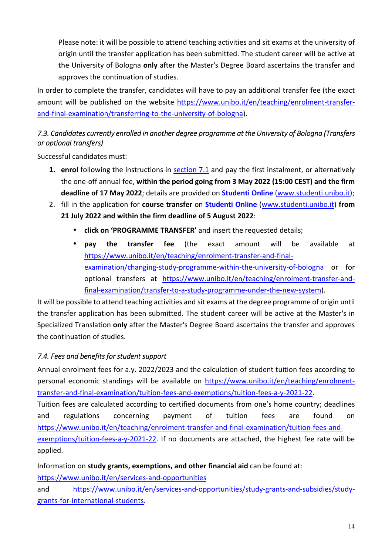Please note: it will be possible to attend teaching activities and sit exams at the university of origin until the transfer application has been submitted. The student career will be active at the University of Bologna **only** after the Master's Degree Board ascertains the transfer and approves the continuation of studies.

In order to complete the transfer, candidates will have to pay an additional transfer fee (the exact amount will be published on the website https://www.unibo.it/en/teaching/enrolment-transferand-final-examination/transferring-to-the-university-of-bologna).

# *7.3. Candidates currently enrolled in another degree programme at the University of Bologna (Transfers or optional transfers)*

Successful candidates must:

- **1. enrol** following the instructions in section 7.1 and pay the first instalment, or alternatively the one-off annual fee, **within the period going from 3 May 2022 (15:00 CEST) and the firm deadline of 17 May 2022**; details are provided on **Studenti Online** (www.studenti.unibo.it);
- 2. fill in the application for **course transfer** on **Studenti Online** (www.studenti.unibo.it) **from 21 July 2022 and within the firm deadline of 5 August 2022**:
	- **click on 'PROGRAMME TRANSFER'** and insert the requested details;
	- **pay the transfer fee** (the exact amount will be available at https://www.unibo.it/en/teaching/enrolment-transfer-and-finalexamination/changing-study-programme-within-the-university-of-bologna or for optional transfers at https://www.unibo.it/en/teaching/enrolment-transfer-andfinal-examination/transfer-to-a-study-programme-under-the-new-system).

It will be possible to attend teaching activities and sit exams at the degree programme of origin until the transfer application has been submitted. The student career will be active at the Master's in Specialized Translation **only** after the Master's Degree Board ascertains the transfer and approves the continuation of studies.

# *7.4. Fees and benefits for student support*

Annual enrolment fees for a.y. 2022/2023 and the calculation of student tuition fees according to personal economic standings will be available on https://www.unibo.it/en/teaching/enrolmenttransfer-and-final-examination/tuition-fees-and-exemptions/tuition-fees-a-y-2021-22.

Tuition fees are calculated according to certified documents from one's home country; deadlines and regulations concerning payment of tuition fees are found on https://www.unibo.it/en/teaching/enrolment-transfer-and-final-examination/tuition-fees-andexemptions/tuition-fees-a-y-2021-22. If no documents are attached, the highest fee rate will be applied.

Information on **study grants, exemptions, and other financial aid** can be found at:

https://www.unibo.it/en/services-and-opportunities

and https://www.unibo.it/en/services-and-opportunities/study-grants-and-subsidies/studygrants-for-international-students.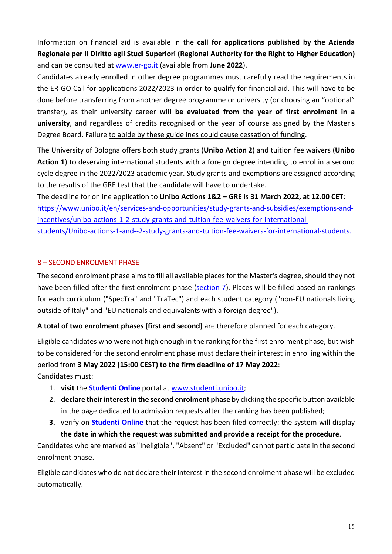Information on financial aid is available in the **call for applications published by the Azienda Regionale per il Diritto agli Studi Superiori (Regional Authority for the Right to Higher Education)** and can be consulted at www.er-go.it (available from **June 2022**).

Candidates already enrolled in other degree programmes must carefully read the requirements in the ER-GO Call for applications 2022/2023 in order to qualify for financial aid. This will have to be done before transferring from another degree programme or university (or choosing an "optional" transfer), as their university career **will be evaluated from the year of first enrolment in a university**, and regardless of credits recognised or the year of course assigned by the Master's Degree Board. Failure to abide by these guidelines could cause cessation of funding.

The University of Bologna offers both study grants (**Unibo Action 2**) and tuition fee waivers (**Unibo Action 1**) to deserving international students with a foreign degree intending to enrol in a second cycle degree in the 2022/2023 academic year. Study grants and exemptions are assigned according to the results of the GRE test that the candidate will have to undertake.

The deadline for online application to **Unibo Actions 1&2 – GRE** is **31 March 2022, at 12.00 CET**: https://www.unibo.it/en/services-and-opportunities/study-grants-and-subsidies/exemptions-andincentives/unibo-actions-1-2-study-grants-and-tuition-fee-waivers-for-internationalstudents/Unibo-actions-1-and--2-study-grants-and-tuition-fee-waivers-for-international-students.

### 8 – SECOND ENROLMENT PHASE

The second enrolment phase aims to fill all available places for the Master's degree, should they not have been filled after the first enrolment phase (section 7). Places will be filled based on rankings for each curriculum ("SpecTra" and "TraTec") and each student category ("non-EU nationals living outside of Italy" and "EU nationals and equivalents with a foreign degree").

**A total of two enrolment phases (first and second)** are therefore planned for each category.

Eligible candidates who were not high enough in the ranking for the first enrolment phase, but wish to be considered for the second enrolment phase must declare their interest in enrolling within the period from **3 May 2022 (15:00 CEST) to the firm deadline of 17 May 2022**: Candidates must:

- 1. **visit** the **Studenti Online** portal at www.studenti.unibo.it;
- 2. **declare their interest in the second enrolment phase** by clicking the specific button available in the page dedicated to admission requests after the ranking has been published;
- **3.** verify on **Studenti Online** that the request has been filed correctly: the system will display **the date in which the request was submitted and provide a receipt for the procedure**.

Candidates who are marked as "Ineligible", "Absent" or "Excluded" cannot participate in the second enrolment phase.

Eligible candidates who do not declare their interest in the second enrolment phase will be excluded automatically.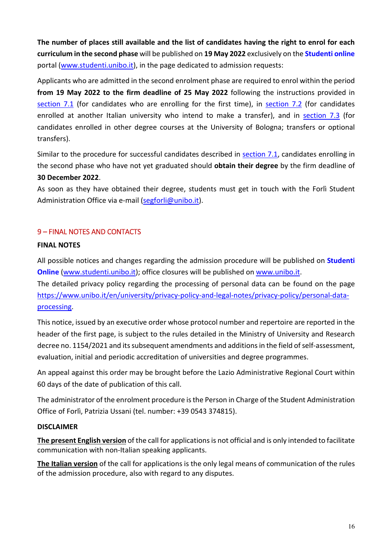**The number of places still available and the list of candidates having the right to enrol for each curriculum in the second phase** will be published on **19 May 2022** exclusively on the **Studenti online** portal (www.studenti.unibo.it), in the page dedicated to admission requests:

Applicants who are admitted in the second enrolment phase are required to enrol within the period **from 19 May 2022 to the firm deadline of 25 May 2022** following the instructions provided in section 7.1 (for candidates who are enrolling for the first time), in section 7.2 (for candidates enrolled at another Italian university who intend to make a transfer), and in section 7.3 (for candidates enrolled in other degree courses at the University of Bologna; transfers or optional transfers).

Similar to the procedure for successful candidates described in section 7.1, candidates enrolling in the second phase who have not yet graduated should **obtain their degree** by the firm deadline of **30 December 2022**.

As soon as they have obtained their degree, students must get in touch with the Forlì Student Administration Office via e-mail (segforli@unibo.it).

### 9 – FINAL NOTES AND CONTACTS

#### **FINAL NOTES**

All possible notices and changes regarding the admission procedure will be published on **Studenti Online** (www.studenti.unibo.it); office closures will be published on www.unibo.it.

The detailed privacy policy regarding the processing of personal data can be found on the page https://www.unibo.it/en/university/privacy-policy-and-legal-notes/privacy-policy/personal-dataprocessing.

This notice, issued by an executive order whose protocol number and repertoire are reported in the header of the first page, is subject to the rules detailed in the Ministry of University and Research decree no. 1154/2021 and its subsequent amendments and additions in the field of self-assessment, evaluation, initial and periodic accreditation of universities and degree programmes.

An appeal against this order may be brought before the Lazio Administrative Regional Court within 60 days of the date of publication of this call.

The administrator of the enrolment procedure is the Person in Charge of the Student Administration Office of Forlì, Patrizia Ussani (tel. number: +39 0543 374815).

#### **DISCLAIMER**

**The present English version** of the call for applications is not official and is only intended to facilitate communication with non-Italian speaking applicants.

**The Italian version** of the call for applications is the only legal means of communication of the rules of the admission procedure, also with regard to any disputes.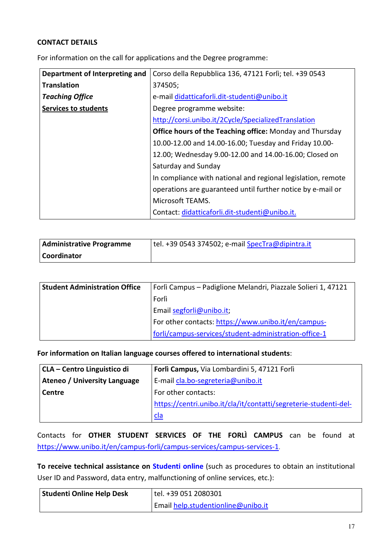#### **CONTACT DETAILS**

For information on the call for applications and the Degree programme:

| Department of Interpreting and | Corso della Repubblica 136, 47121 Forlì; tel. +39 0543       |
|--------------------------------|--------------------------------------------------------------|
| <b>Translation</b>             | 374505;                                                      |
| <b>Teaching Office</b>         | e-mail didatticaforli.dit-studenti@unibo.it                  |
| <b>Services to students</b>    | Degree programme website:                                    |
|                                | http://corsi.unibo.it/2Cycle/SpecializedTranslation          |
|                                | Office hours of the Teaching office: Monday and Thursday     |
|                                | 10.00-12.00 and 14.00-16.00; Tuesday and Friday 10.00-       |
|                                | 12.00; Wednesday 9.00-12.00 and 14.00-16.00; Closed on       |
|                                | Saturday and Sunday                                          |
|                                | In compliance with national and regional legislation, remote |
|                                | operations are guaranteed until further notice by e-mail or  |
|                                | Microsoft TEAMS.                                             |
|                                | Contact: didatticaforli.dit-studenti@unibo.it.               |

| Administrative Programme | tel. +39 0543 374502; e-mail SpecTra@dipintra.it |
|--------------------------|--------------------------------------------------|
| Coordinator              |                                                  |

| <b>Student Administration Office</b> | Forlì Campus - Padiglione Melandri, Piazzale Solieri 1, 47121 |
|--------------------------------------|---------------------------------------------------------------|
|                                      | Forlì                                                         |
|                                      | Email segforli@unibo.it;                                      |
|                                      | For other contacts: https://www.unibo.it/en/campus-           |
|                                      | forli/campus-services/student-administration-office-1         |

**For information on Italian language courses offered to international students**:

| CLA – Centro Linguistico di  | Forlì Campus, Via Lombardini 5, 47121 Forlì                      |
|------------------------------|------------------------------------------------------------------|
| Ateneo / University Language | E-mail cla.bo-segreteria@unibo.it                                |
| Centre                       | For other contacts:                                              |
|                              | https://centri.unibo.it/cla/it/contatti/segreterie-studenti-del- |
|                              | cla                                                              |

Contacts for **OTHER STUDENT SERVICES OF THE FORLÌ CAMPUS** can be found at https://www.unibo.it/en/campus-forli/campus-services/campus-services-1.

**To receive technical assistance on Studenti online** (such as procedures to obtain an institutional User ID and Password, data entry, malfunctioning of online services, etc.):

| Studenti Online Help Desk | tel. +39 051 2080301               |
|---------------------------|------------------------------------|
|                           | Email help.studentionline@unibo.it |